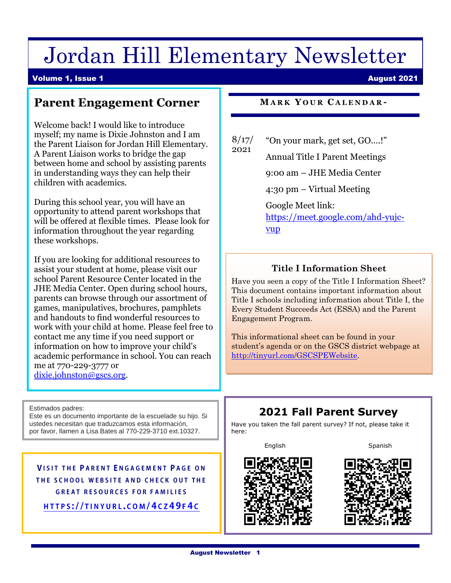# Jordan Hill Elementary Newsletter

#### Volume 1, Issue 1 August 2021

# **Parent Engagement Corner**

Welcome back! I would like to introduce myself; my name is Dixie Johnston and I am the Parent Liaison for Jordan Hill Elementary. A Parent Liaison works to bridge the gap between home and school by assisting parents in understanding ways they can help their children with academics.

During this school year, you will have an opportunity to attend parent workshops that will be offered at flexible times. Please look for information throughout the year regarding these workshops.

If you are looking for additional resources to assist your student at home, please visit our school Parent Resource Center located in the JHE Media Center. Open during school hours, parents can browse through our assortment of games, manipulatives, brochures, pamphlets and handouts to find wonderful resources to work with your child at home. Please feel free to contact me any time if you need support or information on how to improve your child's academic performance in school. You can reach me at 770-229-3777 or [dixie.johnston@gscs.org.](mailto:dixie.johnston@gscs.org)

Estimados padres: Este es un documento importante de la escuelade su hijo. Si ustedes necesitan que traduzcamos esta información, por favor, llamen a Lisa Bates al 770-229-3710 ext.10327.

**VISIT THE PARENT ENGAGEMENT PAGE ON** THE SCHOOL WEBSITE AND CHECK OUT THE **GREAT RESOURCES FOR FAMILIES** HTTPS://TINYURL.COM/4CZ49F4C

**MA R K Y O U R C A L E N D A R -**

|      | 8/17/ "On your mark, get set, GO!" |
|------|------------------------------------|
| 2021 |                                    |

Annual Title I Parent Meetings

9:00 am – JHE Media Center

4:30 pm – Virtual Meeting

Google Meet link:

[https://meet.google.com/ahd-yujc](https://meet.google.com/ahd-yujc-vup)[vup](https://meet.google.com/ahd-yujc-vup)

## **Title I Information Sheet**

Have you seen a copy of the Title I Information Sheet? This document contains important information about Title I schools including information about Title I, the Every Student Succeeds Act (ESSA) and the Parent Engagement Program.

This informational sheet can be found in your student's agenda or on the GSCS district webpage at [http://tinyurl.com/GSCSPEWebsite.](http://tinyurl.com/GSCSPEWebsite)

# **2021 Fall Parent Survey**

Have you taken the fall parent survey? If not, please take it here:

English Spanish



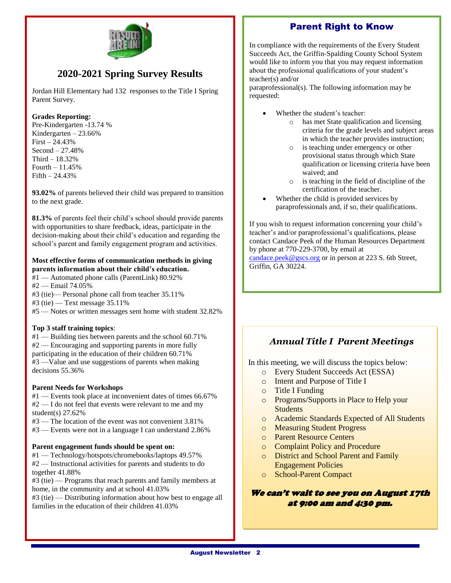## Parent Right to Know



# **2020-2021 Spring Survey Results**

Jordan Hill Elementary had 132 responses to the Title I Spring Parent Survey.

#### **Grades Reporting:**

Pre-Kindergarten -13.74 % Kindergarten – 23.66% First – 24.43% Second – 27.48% Third – 18.32% Fourth – 11.45% Fifth – 24.43%

**93.02%** of parents believed their child was prepared to transition to the next grade.

**81.3%** of parents feel their child's school should provide parents with opportunities to share feedback, ideas, participate in the decision-making about their child's education and regarding the school's parent and family engagement program and activities.

#### **Most effective forms of communication methods in giving parents information about their child's education.**

- #1 Automated phone calls (ParentLink) 80.92%
- #2 Email 74.05%
- #3 (tie)— Personal phone call from teacher 35.11%
- $#3$  (tie) Text message 35.11%

#5 — Notes or written messages sent home with student 32.82%

#### **Top 3 staff training topics**:

#1 — Building ties between parents and the school 60.71% #2 — Encouraging and supporting parents in more fully participating in the education of their children 60.71% #3 —Value and use suggestions of parents when making decisions 55.36%

#### **Parent Needs for Workshops**

#1 — Events took place at inconvenient dates of times 66.67% #2 — I do not feel that events were relevant to me and my student(s) 27.62%

- #3 The location of the event was not convenient 3.81%
- #3 Events were not in a language I can understand 2.86%

#### **Parent engagement funds should be spent on:**

#1 — Technology/hotspots/chromebooks/laptops 49.57% #2 — Instructional activities for parents and students to do together 41.88%

#3 (tie) — Programs that reach parents and family members at home, in the community and at school 41.03%

#3 (tie) — Distributing information about how best to engage all families in the education of their children 41.03%

In compliance with the requirements of the Every Student Succeeds Act, the Griffin-Spalding County School System would like to inform you that you may request information about the professional qualifications of your student's teacher(s) and/or

paraprofessional(s). The following information may be requested:

- Whether the student's teacher:
	- o has met State qualification and licensing criteria for the grade levels and subject areas in which the teacher provides instruction;
	- o is teaching under emergency or other provisional status through which State qualification or licensing criteria have been waived; and
	- o is teaching in the field of discipline of the certification of the teacher.
- Whether the child is provided services by paraprofessionals and, if so, their qualifications.

If you wish to request information concerning your child's teacher's and/or paraprofessional's qualifications, please contact Candace Peek of the Human Resources Department by phone at 770-229-3700, by email at [candace.peek@gscs.org](mailto:candace.peek@gscs.org) or in person at 223 S. 6th Street, Griffin, GA 30224.

## *Annual Title I Parent Meetings*

In this meeting, we will discuss the topics below:

- o Every Student Succeeds Act (ESSA)
- o Intent and Purpose of Title I
- o Title I Funding
- o Programs/Supports in Place to Help your **Students**
- o Academic Standards Expected of All Students
- o Measuring Student Progress
- o Parent Resource Centers
- o Complaint Policy and Procedure
- o District and School Parent and Family Engagement Policies
- o School-Parent Compact

### We can't wait to see you on August 17th at 9:00 am and 4:30 pm.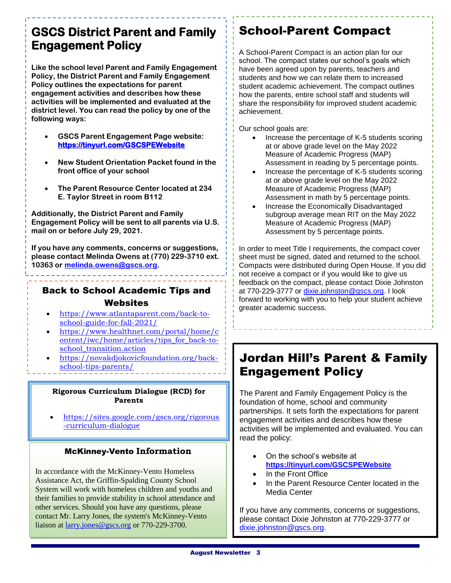# **Engagement Policy GSCS District Parent and Family**

**Like the school level Parent and Family Engagement Policy, the District Parent and Family Engagement Policy outlines the expectations for parent engagement activities and describes how these activities will be implemented and evaluated at the district level. You can read the policy by one of the following ways:** 

- **GSCS Parent Engagement Page website: <https://tinyurl.com/GSCSPEWebsite>**
- **New Student Orientation Packet found in the front office of your school**
- **The Parent Resource Center located at 234 E. Taylor Street in room B112**

**Additionally, the District Parent and Family Engagement Policy will be sent to all parents via U.S. mail on or before July 29, 2021.** 

**If you have any comments, concerns or suggestions, please contact Melinda Owens at (770) 229-3710 ext. 10363 or [melinda.owens@gscs.org.](mailto:melinda.owens@gscs.org)** 

## Back to School Academic Tips and **Websites**

- [https://www.atlantaparent.com/back-to](https://www.atlantaparent.com/back-to-school-guide-for-fall-2021/)[school-guide-for-fall-2021/](https://www.atlantaparent.com/back-to-school-guide-for-fall-2021/)
- [https://www.healthnet.com/portal/home/c](https://www.healthnet.com/portal/home/content/iwc/home/articles/tips_for_back-to-school_transition.action) [ontent/iwc/home/articles/tips\\_for\\_back-to](https://www.healthnet.com/portal/home/content/iwc/home/articles/tips_for_back-to-school_transition.action)[school\\_transition.action](https://www.healthnet.com/portal/home/content/iwc/home/articles/tips_for_back-to-school_transition.action)
- [https://novakdjokovicfoundation.org/back](https://novakdjokovicfoundation.org/back-school-tips-parents/)[school-tips-parents/](https://novakdjokovicfoundation.org/back-school-tips-parents/)

#### **Rigorous Curriculum Dialogue (RCD) for Parents**

•

• [https://sites.google.com/gscs.org/rigorous](https://sites.google.com/gscs.org/rigorous-curriculum-dialogue) [-curriculum-dialogue](https://sites.google.com/gscs.org/rigorous-curriculum-dialogue)

## McKinney-Vento **Information**

In accordance with the McKinney-Vento Homeless Assistance Act, the Griffin-Spalding County School System will work with homeless children and youths and their families to provide stability in school attendance and other services. Should you have any questions, please contact Mr. Larry Jones, the system's McKinney-Vento liaison at larry.jones@gscs.org or 770-229-3700.

# School-Parent Compact

A School-Parent Compact is an action plan for our school. The compact states our school's goals which have been agreed upon by parents, teachers and students and how we can relate them to increased student academic achievement. The compact outlines how the parents, entire school staff and students will share the responsibility for improved student academic achievement.

Our school goals are:

- Increase the percentage of K-5 students scoring at or above grade level on the May 2022 Measure of Academic Progress (MAP) Assessment in reading by 5 percentage points.
- Increase the percentage of K-5 students scoring at or above grade level on the May 2022 Measure of Academic Progress (MAP) Assessment in math by 5 percentage points.
- Increase the Economically Disadvantaged subgroup average mean RIT on the May 2022 Measure of Academic Progress (MAP) Assessment by 5 percentage points.

In order to meet Title I requirements, the compact cover sheet must be signed, dated and returned to the school. Compacts were distributed during Open House. If you did not receive a compact or if you would like to give us feedback on the compact, please contact Dixie Johnston at 770-229-3777 or [dixie.johnston@gscs.org.](mailto:dixie.johnston@gscs.org) I look forward to working with you to help your student achieve greater academic success.

# Jordan Hill's Parent & Family Engagement Policy

The Parent and Family Engagement Policy is the foundation of home, school and community partnerships. It sets forth the expectations for parent engagement activities and describes how these activities will be implemented and evaluated. You can read the policy:

- On the school's website at **<https://tinyurl.com/GSCSPEWebsite>**
- In the Front Office
- In the Parent Resource Center located in the Media Center

If you have any comments, concerns or suggestions, please contact Dixie Johnston at 770-229-3777 or [dixie.johnston@gscs.org.](mailto:dixie.johnston@gscs.org)